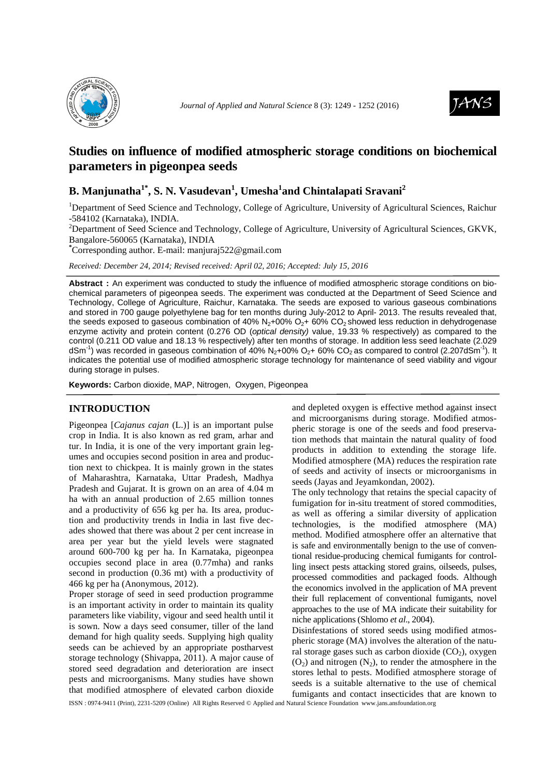



# **Studies on influence of modified atmospheric storage conditions on biochemical parameters in pigeonpea seeds**

# **B. Manjunatha1\*, S. N. Vasudevan<sup>1</sup> , Umesha<sup>1</sup> and Chintalapati Sravani<sup>2</sup>**

<sup>1</sup>Department of Seed Science and Technology, College of Agriculture, University of Agricultural Sciences, Raichur -584102 (Karnataka), INDIA.

<sup>2</sup>Department of Seed Science and Technology, College of Agriculture, University of Agricultural Sciences, GKVK, Bangalore-560065 (Karnataka), INDIA

**\***Corresponding author. E-mail: manjuraj522@gmail.com

*Received: December 24, 2014; Revised received: April 02, 2016; Accepted: July 15, 2016*

**Abstract :** An experiment was conducted to study the influence of modified atmospheric storage conditions on biochemical parameters of pigeonpea seeds. The experiment was conducted at the Department of Seed Science and Technology, College of Agriculture, Raichur, Karnataka. The seeds are exposed to various gaseous combinations and stored in 700 gauge polyethylene bag for ten months during July-2012 to April- 2013. The results revealed that, the seeds exposed to gaseous combination of 40%  $N_2+00\%$   $O_2+60\%$  CO<sub>2</sub> showed less reduction in dehydrogenase enzyme activity and protein content (0.276 OD (*optical density*) value, 19.33 % respectively) as compared to the control (0.211 OD value and 18.13 % respectively) after ten months of storage. In addition less seed leachate (2.029 dSm<sup>-1</sup>) was recorded in gaseous combination of 40% N<sub>2</sub>+00% O<sub>2</sub>+ 60% CO<sub>2</sub> as compared to control (2.207dSm<sup>-1</sup>). It indicates the potential use of modified atmospheric storage technology for maintenance of seed viability and vigour during storage in pulses.

**Keywords:** Carbon dioxide, MAP, Nitrogen, Oxygen, Pigeonpea

## **INTRODUCTION**

Pigeonpea [*Cajanus cajan* (L.)] is an important pulse crop in India. It is also known as red gram, arhar and tur. In India, it is one of the very important grain legumes and occupies second position in area and production next to chickpea. It is mainly grown in the states of Maharashtra, Karnataka, Uttar Pradesh, Madhya Pradesh and Gujarat. It is grown on an area of 4.04 m ha with an annual production of 2.65 million tonnes and a productivity of 656 kg per ha. Its area, production and productivity trends in India in last five decades showed that there was about 2 per cent increase in area per year but the yield levels were stagnated around 600-700 kg per ha. In Karnataka, pigeonpea occupies second place in area (0.77mha) and ranks second in production (0.36 mt) with a productivity of 466 kg per ha (Anonymous, 2012).

Proper storage of seed in seed production programme is an important activity in order to maintain its quality parameters like viability, vigour and seed health until it is sown. Now a days seed consumer, tiller of the land demand for high quality seeds. Supplying high quality seeds can be achieved by an appropriate postharvest storage technology (Shivappa, 2011). A major cause of stored seed degradation and deterioration are insect pests and microorganisms. Many studies have shown that modified atmosphere of elevated carbon dioxide

and depleted oxygen is effective method against insect and microorganisms during storage. Modified atmospheric storage is one of the seeds and food preservation methods that maintain the natural quality of food products in addition to extending the storage life. Modified atmosphere (MA) reduces the respiration rate of seeds and activity of insects or microorganisms in seeds (Jayas and Jeyamkondan, 2002).

The only technology that retains the special capacity of fumigation for in-situ treatment of stored commodities, as well as offering a similar diversity of application technologies, is the modified atmosphere (MA) method. Modified atmosphere offer an alternative that is safe and environmentally benign to the use of conventional residue-producing chemical fumigants for controlling insect pests attacking stored grains, oilseeds, pulses, processed commodities and packaged foods. Although the economics involved in the application of MA prevent their full replacement of conventional fumigants, novel approaches to the use of MA indicate their suitability for niche applications (Shlomo *et al*., 2004).

Disinfestations of stored seeds using modified atmospheric storage (MA) involves the alteration of the natural storage gases such as carbon dioxide  $(CO<sub>2</sub>)$ , oxygen  $(O<sub>2</sub>)$  and nitrogen  $(N<sub>2</sub>)$ , to render the atmosphere in the stores lethal to pests. Modified atmosphere storage of seeds is a suitable alternative to the use of chemical fumigants and contact insecticides that are known to

ISSN : 0974-9411 (Print), 2231-5209 (Online) All Rights Reserved © Applied and Natural Science Foundation www.jans.ansfoundation.org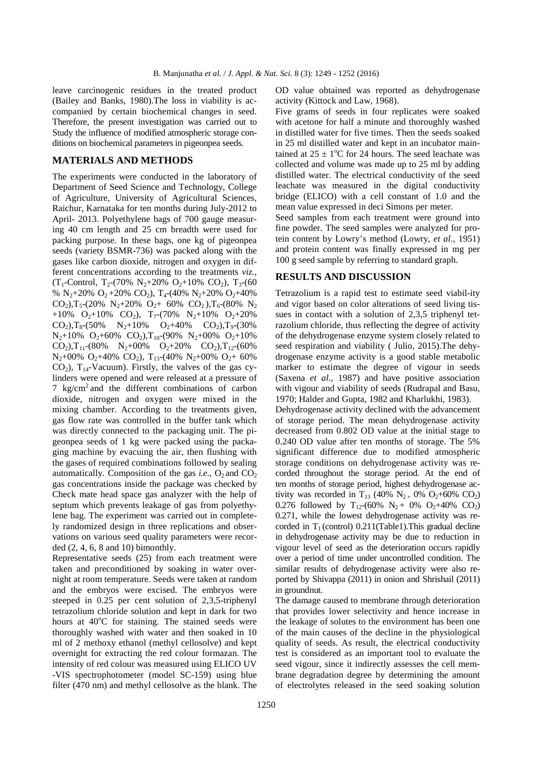leave carcinogenic residues in the treated product (Bailey and Banks, 1980).The loss in viability is accompanied by certain biochemical changes in seed. Therefore, the present investigation was carried out to Study the influence of modified atmospheric storage conditions on biochemical parameters in pigeonpea seeds.

### **MATERIALS AND METHODS**

The experiments were conducted in the laboratory of Department of Seed Science and Technology, College of Agriculture, University of Agricultural Sciences, Raichur, Karnataka for ten months during July-2012 to April- 2013. Polyethylene bags of 700 gauge measuring 40 cm length and 25 cm breadth were used for packing purpose. In these bags, one kg of pigeonpea seeds (variety BSMR-736) was packed along with the gases like carbon dioxide, nitrogen and oxygen in different concentrations according to the treatments *viz.,*  $(T_1$ -Control,  $T_2$ -(70%  $N_2$ +20%  $O_2$ +10%  $CO_2$ ),  $T_3$ -(60 %  $N_2+20\%$  O<sub>2</sub> + 20% CO<sub>2</sub>), T<sub>4</sub>-(40%  $N_2+20\%$  O<sub>2</sub>+40%  $CO_2$ ), T<sub>5</sub>-(20% N<sub>2</sub>+20% O<sub>2</sub>+ 60% CO<sub>2</sub>), T<sub>6</sub>-(80% N<sub>2</sub> +10%  $O_2$ +10%  $CO_2$ ), T<sub>7</sub>-(70% N<sub>2</sub>+10% O<sub>2</sub>+20%  $CO<sub>2</sub>$ , T<sub>8</sub>-(50% N<sub>2</sub>+10% O<sub>2</sub>+40% CO<sub>2</sub>), T<sub>9</sub>-(30%  $N_2+10\%$  O<sub>2</sub>+60% CO<sub>2</sub>),T<sub>10</sub>-(90% N<sub>2</sub>+00% O<sub>2</sub>+10%  $CO<sub>2</sub>$ ),T<sub>11</sub>-(80% N<sub>2</sub>+00% O<sub>2</sub>+20% CO<sub>2</sub>),T<sub>12</sub>-(60%  $N_2+00\%$  O<sub>2</sub>+40% CO<sub>2</sub>), T<sub>13</sub>-(40% N<sub>2</sub>+00% O<sub>2</sub>+ 60%  $CO<sub>2</sub>$ ), T<sub>14</sub>-Vacuum). Firstly, the valves of the gas cylinders were opened and were released at a pressure of 7 kg/cm<sup>2</sup> and the different combinations of carbon dioxide, nitrogen and oxygen were mixed in the mixing chamber. According to the treatments given, gas flow rate was controlled in the buffer tank which was directly connected to the packaging unit. The pigeonpea seeds of 1 kg were packed using the packaging machine by evacuing the air, then flushing with the gases of required combinations followed by sealing automatically. Composition of the gas *i.e.*,  $O_2$  and  $CO_2$ gas concentrations inside the package was checked by Check mate head space gas analyzer with the help of septum which prevents leakage of gas from polyethylene bag. The experiment was carried out in completely randomized design in three replications and observations on various seed quality parameters were recorded (2, 4, 6, 8 and 10) bimonthly.

Representative seeds (25) from each treatment were taken and preconditioned by soaking in water overnight at room temperature. Seeds were taken at random and the embryos were excised. The embryos were steeped in 0.25 per cent solution of 2,3,5-triphenyl tetrazolium chloride solution and kept in dark for two hours at  $40^{\circ}$ C for staining. The stained seeds were thoroughly washed with water and then soaked in 10 ml of 2 methoxy ethanol (methyl cellosolve) and kept overnight for extracting the red colour formazan. The intensity of red colour was measured using ELICO UV -VIS spectrophotometer (model SC-159) using blue filter (470 nm) and methyl cellosolve as the blank. The OD value obtained was reported as dehydrogenase activity (Kittock and Law, 1968).

Five grams of seeds in four replicates were soaked with acetone for half a minute and thoroughly washed in distilled water for five times. Then the seeds soaked in 25 ml distilled water and kept in an incubator maintained at  $25 \pm 1$ <sup>o</sup>C for 24 hours. The seed leachate was collected and volume was made up to 25 ml by adding distilled water. The electrical conductivity of the seed leachate was measured in the digital conductivity bridge (ELICO) with a cell constant of 1.0 and the mean value expressed in deci Simons per meter.

Seed samples from each treatment were ground into fine powder. The seed samples were analyzed for protein content by Lowry's method (Lowry, *et al*., 1951) and protein content was finally expressed in mg per 100 g seed sample by referring to standard graph.

## **RESULTS AND DISCUSSION**

Tetrazolium is a rapid test to estimate seed viabil-ity and vigor based on color alterations of seed living tissues in contact with a solution of 2,3,5 triphenyl tetrazolium chloride, thus reflecting the degree of activity of the dehydrogenase enzyme system closely related to seed respiration and viability ( Julio, 2015).The dehydrogenase enzyme activity is a good stable metabolic marker to estimate the degree of vigour in seeds (Saxena *et al*., 1987) and have positive association with vigour and viability of seeds (Rudrapal and Basu, 1970; Halder and Gupta, 1982 and Kharlukhi, 1983). Dehydrogenase activity declined with the advancement of storage period. The mean dehydrogenase activity decreased from 0.802 OD value at the initial stage to

0.240 OD value after ten months of storage. The 5% significant difference due to modified atmospheric storage conditions on dehydrogenase activity was recorded throughout the storage period. At the end of ten months of storage period, highest dehydrogenase activity was recorded in T<sub>13</sub> (40% N<sub>2+</sub> 0% O<sub>2</sub>+60% CO<sub>2</sub>) 0.276 followed by  $T_{12}$ -(60%  $N_2$ + 0% O<sub>2</sub>+40% CO<sub>2</sub>) 0.271, while the lowest dehydrogenase activity was recorded in  $T_1$  (control) 0.211(Table1). This gradual decline in dehydrogenase activity may be due to reduction in vigour level of seed as the deterioration occurs rapidly over a period of time under uncontrolled condition. The similar results of dehydrogenase activity were also reported by Shivappa (2011) in onion and Shrishail (2011) in groundnut.

The damage caused to membrane through deterioration that provides lower selectivity and hence increase in the leakage of solutes to the environment has been one of the main causes of the decline in the physiological quality of seeds. As result, the electrical conductivity test is considered as an important tool to evaluate the seed vigour, since it indirectly assesses the cell membrane degradation degree by determining the amount of electrolytes released in the seed soaking solution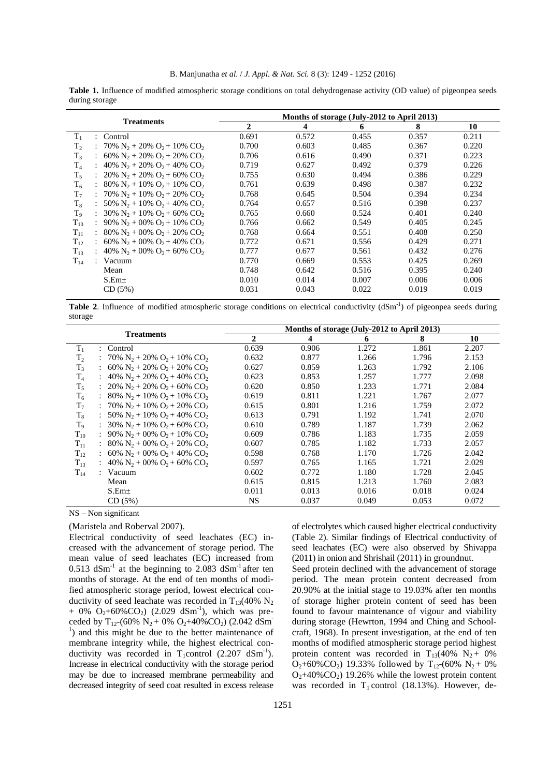**Table 1.** Influence of modified atmospheric storage conditions on total dehydrogenase activity (OD value) of pigeonpea seeds during storage

|                                                                 | Months of storage (July-2012 to April 2013) |       |       |       |       |  |
|-----------------------------------------------------------------|---------------------------------------------|-------|-------|-------|-------|--|
|                                                                 | $\mathbf{2}$                                | 4     | 6     | 8     | 10    |  |
| : Control                                                       | 0.691                                       | 0.572 | 0.455 | 0.357 | 0.211 |  |
| : 70% N <sub>2</sub> + 20% O <sub>2</sub> + 10% CO <sub>2</sub> | 0.700                                       | 0.603 | 0.485 | 0.367 | 0.220 |  |
| : 60% N <sub>2</sub> + 20% O <sub>2</sub> + 20% CO <sub>2</sub> | 0.706                                       | 0.616 | 0.490 | 0.371 | 0.223 |  |
| : 40% $N_2$ + 20% $O_2$ + 40% CO <sub>2</sub>                   | 0.719                                       | 0.627 | 0.492 | 0.379 | 0.226 |  |
| : $20\% N_2 + 20\% O_2 + 60\% CO_2$                             | 0.755                                       | 0.630 | 0.494 | 0.386 | 0.229 |  |
| : 80% N <sub>2</sub> + 10% O <sub>2</sub> + 10% CO <sub>2</sub> | 0.761                                       | 0.639 | 0.498 | 0.387 | 0.232 |  |
| : 70% $N_2$ + 10% $O_2$ + 20% CO <sub>2</sub>                   | 0.768                                       | 0.645 | 0.504 | 0.394 | 0.234 |  |
| : 50% $N_2$ + 10% $O_2$ + 40% $CO_2$                            | 0.764                                       | 0.657 | 0.516 | 0.398 | 0.237 |  |
| : $30\% \text{ N}_2 + 10\% \text{ O}_2 + 60\% \text{ CO}_2$     | 0.765                                       | 0.660 | 0.524 | 0.401 | 0.240 |  |
| : 90% $N_2$ + 00% $O_2$ + 10% CO <sub>2</sub>                   | 0.766                                       | 0.662 | 0.549 | 0.405 | 0.245 |  |
| : 80% N <sub>2</sub> + 00% O <sub>2</sub> + 20% CO <sub>2</sub> | 0.768                                       | 0.664 | 0.551 | 0.408 | 0.250 |  |
| : 60% N <sub>2</sub> + 00% O <sub>2</sub> + 40% CO <sub>2</sub> | 0.772                                       | 0.671 | 0.556 | 0.429 | 0.271 |  |
| : 40% N <sub>2</sub> + 00% O <sub>2</sub> + 60% CO <sub>2</sub> | 0.777                                       | 0.677 | 0.561 | 0.432 | 0.276 |  |
| : $Vacuum$                                                      | 0.770                                       | 0.669 | 0.553 | 0.425 | 0.269 |  |
| Mean                                                            | 0.748                                       | 0.642 | 0.516 | 0.395 | 0.240 |  |
| $S.Em\pm$                                                       | 0.010                                       | 0.014 | 0.007 | 0.006 | 0.006 |  |
| CD(5%)                                                          | 0.031                                       | 0.043 | 0.022 | 0.019 | 0.019 |  |
|                                                                 | <b>Treatments</b>                           |       |       |       |       |  |

**Table 2.** Influence of modified atmospheric storage conditions on electrical conductivity (dSm<sup>-1</sup>) of pigeonpea seeds during storage

| <b>Treatments</b> |                                                                            | Months of storage (July-2012 to April 2013) |       |       |       |       |  |
|-------------------|----------------------------------------------------------------------------|---------------------------------------------|-------|-------|-------|-------|--|
|                   |                                                                            | $\overline{2}$                              | 4     | 6     | 8     | 10    |  |
| $T_{1}$           | : Control                                                                  | 0.639                                       | 0.906 | 1.272 | 1.861 | 2.207 |  |
| T <sub>2</sub>    | : 70% $N_2$ + 20% $O_2$ + 10% CO <sub>2</sub>                              | 0.632                                       | 0.877 | 1.266 | 1.796 | 2.153 |  |
| $T_{3}$           | : 60% N <sub>2</sub> + 20% O <sub>2</sub> + 20% CO <sub>2</sub>            | 0.627                                       | 0.859 | 1.263 | 1.792 | 2.106 |  |
| $\rm T_4$         | : 40% N <sub>2</sub> + 20% O <sub>2</sub> + 40% CO <sub>2</sub>            | 0.623                                       | 0.853 | 1.257 | 1.777 | 2.098 |  |
| T,                | : $20\% N_2 + 20\% O_2 + 60\% CO_2$                                        | 0.620                                       | 0.850 | 1.233 | 1.771 | 2.084 |  |
| $T_6$             | $\therefore$ 80% N <sub>2</sub> + 10% O <sub>2</sub> + 10% CO <sub>2</sub> | 0.619                                       | 0.811 | 1.221 | 1.767 | 2.077 |  |
| T <sub>7</sub>    | : 70% $N_2$ + 10% $O_2$ + 20% CO <sub>2</sub>                              | 0.615                                       | 0.801 | 1.216 | 1.759 | 2.072 |  |
| $T_8$             | : 50% $N_2$ + 10% $O_2$ + 40% CO <sub>2</sub>                              | 0.613                                       | 0.791 | 1.192 | 1.741 | 2.070 |  |
| $T_{9}$           | : 30% $N_2$ + 10% $O_2$ + 60% CO <sub>2</sub>                              | 0.610                                       | 0.789 | 1.187 | 1.739 | 2.062 |  |
| $T_{10}$          | : 90% $N_2$ + 00% $O_2$ + 10% CO <sub>2</sub>                              | 0.609                                       | 0.786 | 1.183 | 1.735 | 2.059 |  |
| $T_{11}$          | : 80% N <sub>2</sub> + 00% O <sub>2</sub> + 20% CO <sub>2</sub>            | 0.607                                       | 0.785 | 1.182 | 1.733 | 2.057 |  |
| $T_{12}$          | : 60% N <sub>2</sub> + 00% O <sub>2</sub> + 40% CO <sub>2</sub>            | 0.598                                       | 0.768 | 1.170 | 1.726 | 2.042 |  |
| $T_{13}$          | : 40% N <sub>2</sub> + 00% O <sub>2</sub> + 60% CO <sub>2</sub>            | 0.597                                       | 0.765 | 1.165 | 1.721 | 2.029 |  |
| $T_{14}$          | : $Vacuum$                                                                 | 0.602                                       | 0.772 | 1.180 | 1.728 | 2.045 |  |
|                   | Mean                                                                       | 0.615                                       | 0.815 | 1.213 | 1.760 | 2.083 |  |
|                   | $S.Em\pm$                                                                  | 0.011                                       | 0.013 | 0.016 | 0.018 | 0.024 |  |
|                   | CD(5%)                                                                     | <b>NS</b>                                   | 0.037 | 0.049 | 0.053 | 0.072 |  |

NS – Non significant

(Maristela and Roberval 2007).

Electrical conductivity of seed leachates (EC) increased with the advancement of storage period. The mean value of seed leachates (EC) increased from  $0.513$  dSm<sup>-1</sup> at the beginning to 2.083 dSm<sup>-1</sup> after ten months of storage. At the end of ten months of modified atmospheric storage period, lowest electrical conductivity of seed leachate was recorded in  $T_{13}(40\% \text{ N}_2)$ + 0%  $O_2$ +60%CO<sub>2</sub>) (2.029 dSm<sup>-1</sup>), which was preceded by  $T_{12}$ -(60% N<sub>2</sub> + 0% O<sub>2</sub>+40%CO<sub>2</sub>) (2.042 dSm<sup>-</sup> <sup>1</sup>) and this might be due to the better maintenance of membrane integrity while, the highest electrical conductivity was recorded in  $T_1$ control (2.207 dSm<sup>-1</sup>). Increase in electrical conductivity with the storage period may be due to increased membrane permeability and decreased integrity of seed coat resulted in excess release

of electrolytes which caused higher electrical conductivity (Table 2). Similar findings of Electrical conductivity of seed leachates (EC) were also observed by Shivappa (2011) in onion and Shrishail (2011) in groundnut.

Seed protein declined with the advancement of storage period. The mean protein content decreased from 20.90% at the initial stage to 19.03% after ten months of storage higher protein content of seed has been found to favour maintenance of vigour and viability during storage (Hewrton, 1994 and Ching and Schoolcraft, 1968). In present investigation, at the end of ten months of modified atmospheric storage period highest protein content was recorded in  $T_{13}(40\% \text{ N}_2 + 0\%)$  $O_2$ +60%CO<sub>2</sub>) 19.33% followed by T<sub>12</sub>-(60% N<sub>2</sub> + 0%  $O<sub>2</sub>+40\% CO<sub>2</sub>$  19.26% while the lowest protein content was recorded in  $T_1$  control (18.13%). However, de-